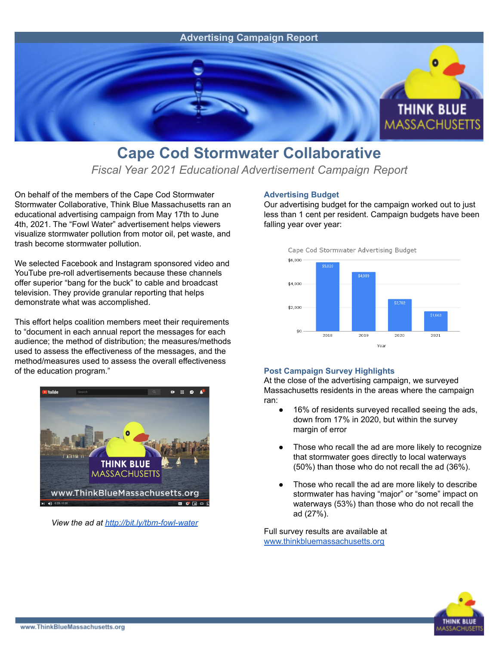

## **Cape Cod Stormwater Collaborative**

*Fiscal Year 2021 Educational Advertisement Campaign Report*

On behalf of the members of the Cape Cod Stormwater Stormwater Collaborative, Think Blue Massachusetts ran an educational advertising campaign from May 17th to June 4th, 2021. The "Fowl Water" advertisement helps viewers visualize stormwater pollution from motor oil, pet waste, and trash become stormwater pollution.

We selected Facebook and Instagram sponsored video and YouTube pre-roll advertisements because these channels offer superior "bang for the buck" to cable and broadcast television. They provide granular reporting that helps demonstrate what was accomplished.

This effort helps coalition members meet their requirements to "document in each annual report the messages for each audience; the method of distribution; the measures/methods used to assess the effectiveness of the messages, and the method/measures used to assess the overall effectiveness of the education program."



*View the ad at <http://bit.ly/tbm-fowl-water>*

## **Advertising Budget**

Our advertising budget for the campaign worked out to just less than 1 cent per resident. Campaign budgets have been falling year over year:



## **Post Campaign Survey Highlights**

At the close of the advertising campaign, we surveyed Massachusetts residents in the areas where the campaign ran:

- 16% of residents surveyed recalled seeing the ads, down from 17% in 2020, but within the survey margin of error
- Those who recall the ad are more likely to recognize that stormwater goes directly to local waterways (50%) than those who do not recall the ad (36%).
- Those who recall the ad are more likely to describe stormwater has having "major" or "some" impact on waterways (53%) than those who do not recall the ad (27%).

Full survey results are available at [www.thinkbluemassachusetts.org](http://www.thinkbluemassachusetts.org)